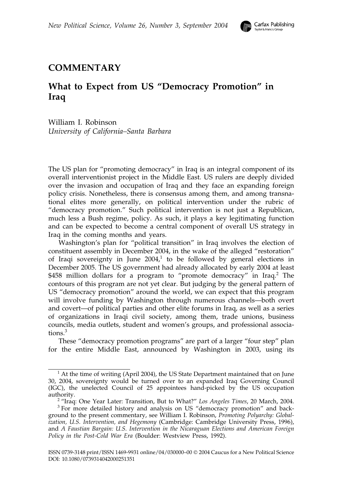## **COMMENTARY**

## **What to Expect from US "Democracy Promotion" in Iraq**

William I. Robinson *University of California–Santa Barbara*

The US plan for "promoting democracy" in Iraq is an integral component of its overall interventionist project in the Middle East. US rulers are deeply divided over the invasion and occupation of Iraq and they face an expanding foreign policy crisis. Nonetheless, there is consensus among them, and among transnational elites more generally, on political intervention under the rubric of "democracy promotion." Such political intervention is not just a Republican, much less a Bush regime, policy. As such, it plays a key legitimating function and can be expected to become a central component of overall US strategy in Iraq in the coming months and years.

Washington's plan for "political transition" in Iraq involves the election of constituent assembly in December 2004, in the wake of the alleged "restoration" of Iraqi sovereignty in June  $2004<sup>1</sup>$  to be followed by general elections in December 2005. The US government had already allocated by early 2004 at least \$458 million dollars for a program to "promote democracy" in Iraq.<sup>2</sup> The contours of this program are not yet clear. But judging by the general pattern of US "democracy promotion" around the world, we can expect that this program will involve funding by Washington through numerous channels—both overt and covert—of political parties and other elite forums in Iraq, as well as a series of organizations in Iraqi civil society, among them, trade unions, business councils, media outlets, student and women's groups, and professional associations $3$ 

These "democracy promotion programs" are part of a larger "four step" plan for the entire Middle East, announced by Washington in 2003, using its

 $<sup>1</sup>$  At the time of writing (April 2004), the US State Department maintained that on June</sup> 30, 2004, sovereignty would be turned over to an expanded Iraq Governing Council (IGC), the unelected Council of 25 appointees hand-picked by the US occupation

authority.<br><sup>2</sup> "Iraq: One Year Later: Transition, But to What?" *Los Angeles Times*, 20 March, 2004.<br><sup>3</sup> For more detailed history and analysis on US "democracy promotion" and background to the present commentary, see William I. Robinson, *Promoting Polyarchy: Globalization, U.S. Intervention, and Hegemony* (Cambridge: Cambridge University Press, 1996), and *A Faustian Bargain: U.S. Intervention in the Nicaraguan Elections and American Foreign Policy in the Post-Cold War Era* (Boulder: Westview Press, 1992).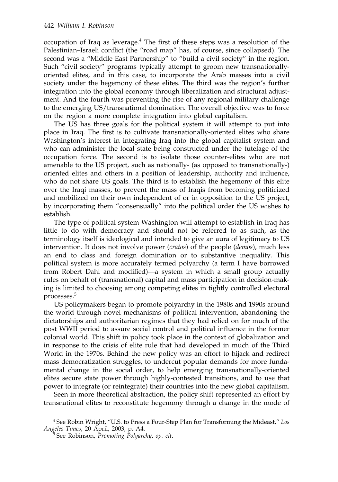occupation of Iraq as leverage.<sup>4</sup> The first of these steps was a resolution of the Palestinian–Israeli conflict (the "road map" has, of course, since collapsed). The second was a "Middle East Partnership" to "build a civil society" in the region. Such "civil society" programs typically attempt to groom new transnationallyoriented elites, and in this case, to incorporate the Arab masses into a civil society under the hegemony of these elites. The third was the region's further integration into the global economy through liberalization and structural adjustment. And the fourth was preventing the rise of any regional military challenge to the emerging US/transnational domination. The overall objective was to force on the region a more complete integration into global capitalism.

The US has three goals for the political system it will attempt to put into place in Iraq. The first is to cultivate transnationally-oriented elites who share Washington's interest in integrating Iraq into the global capitalist system and who can administer the local state being constructed under the tutelage of the occupation force. The second is to isolate those counter-elites who are not amenable to the US project, such as nationally- (as opposed to transnationally-) oriented elites and others in a position of leadership, authority and influence, who do not share US goals. The third is to establish the hegemony of this elite over the Iraqi masses, to prevent the mass of Iraqis from becoming politicized and mobilized on their own independent of or in opposition to the US project, by incorporating them "consensually" into the political order the US wishes to establish.

The type of political system Washington will attempt to establish in Iraq has little to do with democracy and should not be referred to as such, as the terminology itself is ideological and intended to give an aura of legitimacy to US intervention. It does not involve power (*cratos*) of the people (*demos*), much less an end to class and foreign domination or to substantive inequality. This political system is more accurately termed polyarchy (a term I have borrowed from Robert Dahl and modified)—a system in which a small group actually rules on behalf of (transnational) capital and mass participation in decision-making is limited to choosing among competing elites in tightly controlled electoral processes.<sup>5</sup>

US policymakers began to promote polyarchy in the 1980s and 1990s around the world through novel mechanisms of political intervention, abandoning the dictatorships and authoritarian regimes that they had relied on for much of the post WWII period to assure social control and political influence in the former colonial world. This shift in policy took place in the context of globalization and in response to the crisis of elite rule that had developed in much of the Third World in the 1970s. Behind the new policy was an effort to hijack and redirect mass democratization struggles, to undercut popular demands for more fundamental change in the social order, to help emerging transnationally-oriented elites secure state power through highly-contested transitions, and to use that power to integrate (or reintegrate) their countries into the new global capitalism.

Seen in more theoretical abstraction, the policy shift represented an effort by transnational elites to reconstitute hegemony through a change in the mode of

<sup>4</sup> See Robin Wright, "U.S. to Press a Four-Step Plan for Transforming the Mideast," *Los*

*Angeles Times*, 20 April, 2003, p. A4. <sup>5</sup> See Robinson, *Promoting Polyarchy*, *op. cit*.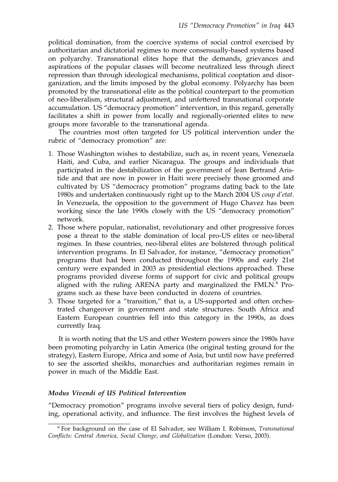political domination, from the coercive systems of social control exercised by authoritarian and dictatorial regimes to more consensually-based systems based on polyarchy. Transnational elites hope that the demands, grievances and aspirations of the popular classes will become neutralized less through direct repression than through ideological mechanisms, political cooptation and disorganization, and the limits imposed by the global economy. Polyarchy has been promoted by the transnational elite as the political counterpart to the promotion of neo-liberalism, structural adjustment, and unfettered transnational corporate accumulation. US "democracy promotion" intervention, in this regard, generally facilitates a shift in power from locally and regionally-oriented elites to new groups more favorable to the transnational agenda.

The countries most often targeted for US political intervention under the rubric of "democracy promotion" are:

- 1. Those Washington wishes to destabilize, such as, in recent years, Venezuela Haiti, and Cuba, and earlier Nicaragua. The groups and individuals that participated in the destabilization of the government of Jean Bertrand Aristide and that are now in power in Haiti were precisely those groomed and cultivated by US "democracy promotion" programs dating back to the late 1980s and undertaken continuously right up to the March 2004 US *coup d'etat*. In Venezuela, the opposition to the government of Hugo Chavez has been working since the late 1990s closely with the US "democracy promotion" network.
- 2. Those where popular, nationalist, revolutionary and other progressive forces pose a threat to the stable domination of local pro-US elites or neo-liberal regimes. In these countries, neo-liberal elites are bolstered through political intervention programs. In El Salvador, for instance, "democracy promotion" programs that had been conducted throughout the 1990s and early 21st century were expanded in 2003 as presidential elections approached. These programs provided diverse forms of support for civic and political groups aligned with the ruling ARENA party and marginalized the FMLN. $6$  Programs such as these have been conducted in dozens of countries.
- 3. Those targeted for a "transition," that is, a US-supported and often orchestrated changeover in government and state structures. South Africa and Eastern European countries fell into this category in the 1990s, as does currently Iraq.

It is worth noting that the US and other Western powers since the 1980s have been promoting polyarchy in Latin America (the original testing ground for the strategy), Eastern Europe, Africa and some of Asia, but until now have preferred to see the assorted sheikhs, monarchies and authoritarian regimes remain in power in much of the Middle East.

#### *Modus Vivendi of US Political Intervention*

"Democracy promotion" programs involve several tiers of policy design, funding, operational activity, and influence. The first involves the highest levels of

<sup>6</sup> For background on the case of El Salvador, see William I. Robinson, *Transnational Conflicts: Central America, Social Change, and Globalization* (London: Verso, 2003).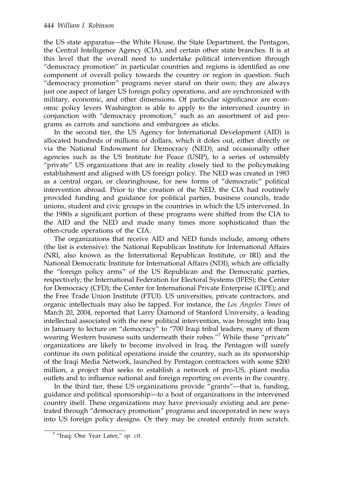the US state apparatus—the White House, the State Department, the Pentagon, the Central Intelligence Agency (CIA), and certain other state branches. It is at this level that the overall need to undertake political intervention through "democracy promotion" in particular countries and regions is identified as one component of overall policy towards the country or region in question. Such "democracy promotion" programs never stand on their own; they are always just one aspect of larger US foreign policy operations, and are synchronized with military, economic, and other dimensions. Of particular significance are economic policy levers Washington is able to apply to the intervened country in conjunction with "democracy promotion," such as an assortment of aid programs as carrots and sanctions and embargoes as sticks.

In the second tier, the US Agency for International Development (AID) is allocated hundreds of millions of dollars, which it doles out, either directly or via the National Endowment for Democracy (NED), and occasionally other agencies such as the US Institute for Peace (USIP), to a series of ostensibly "private" US organizations that are in reality closely tied to the policymaking establishment and aligned with US foreign policy. The NED was created in 1983 as a central organ, or clearinghouse, for new forms of "democratic" political intervention abroad. Prior to the creation of the NED, the CIA had routinely provided funding and guidance for political parties, business councils, trade unions, student and civic groups in the countries in which the US intervened. In the 1980s a significant portion of these programs were shifted from the CIA to the AID and the NED and made many times more sophisticated than the often-crude operations of the CIA.

The organizations that receive AID and NED funds include, among others (the list is extensive): the National Republican Institute for International Affairs (NRI, also known as the International Republican Institute, or IRI) and the National Democratic Institute for International Affairs (NDI), which are officially the "foreign policy arms" of the US Republican and the Democratic parties, respectively; the International Federation for Electoral Systems (IFES); the Center for Democracy (CFD); the Center for International Private Enterprise (CIPE); and the Free Trade Union Institute (FTUI). US universities, private contractors, and organic intellectuals may also be tapped. For instance, the *Los Angeles Times* of March 20, 2004, reported that Larry Diamond of Stanford University, a leading intellectual associated with the new political intervention, was brought into Iraq in January to lecture on "democracy" to "700 Iraqi tribal leaders, many of them wearing Western business suits underneath their robes."<sup>7</sup> While these "private" organizations are likely to become involved in Iraq, the Pentagon will surely continue its own political operations inside the country, such as its sponsorship of the Iraqi Media Network, launched by Pentagon contractors with some \$200 million, a project that seeks to establish a network of pro-US, pliant media outlets and to influence national and foreign reporting on events in the country.

In the third tier, these US organizations provide "grants"—that is, funding, guidance and political sponsorship—to a host of organizations in the intervened country itself. These organizations may have previously existing and are penetrated through "democracy promotion" programs and incorporated in new ways into US foreign policy designs. Or they may be created entirely from scratch.

<sup>7</sup> "Iraq: One Year Later," *op. cit*.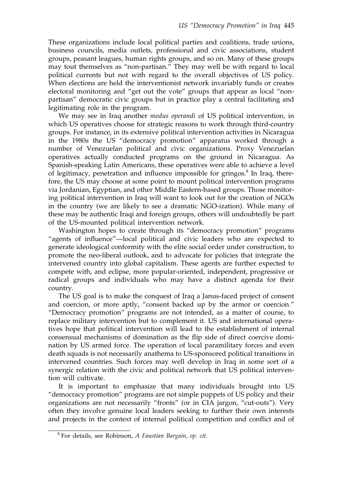These organizations include local political parties and coalitions, trade unions, business councils, media outlets, professional and civic associations, student groups, peasant leagues, human rights groups, and so on. Many of these groups may tout themselves as "non-partisan." They may well be with regard to local political currents but not with regard to the overall objectives of US policy. When elections are held the interventionist network invariably funds or creates electoral monitoring and "get out the vote" groups that appear as local "nonpartisan" democratic civic groups but in practice play a central facilitating and legitimating role in the program.

We may see in Iraq another *modus operandi* of US political intervention, in which US operatives choose for strategic reasons to work through third-country groups. For instance, in its extensive political intervention activities in Nicaragua in the 1980s the US "democracy promotion" apparatus worked through a number of Venezuelan political and civic organizations. Proxy Venezuelan operatives actually conducted programs on the ground in Nicaragua. As Spanish-speaking Latin Americans, these operatives were able to achieve a level of legitimacy, penetration and influence impossible for gringos.<sup>8</sup> In Iraq, therefore, the US may choose at some point to mount political intervention programs via Jordanian, Egyptian, and other Middle Eastern-based groups. Those monitoring political intervention in Iraq will want to look out for the creation of NGOs in the country (we are likely to see a dramatic NGO-ization). While many of these may be authentic Iraqi and foreign groups, others will undoubtedly be part of the US-mounted political intervention network.

Washington hopes to create through its "democracy promotion" programs "agents of influence"—local political and civic leaders who are expected to generate ideological conformity with the elite social order under construction, to promote the neo-liberal outlook, and to advocate for policies that integrate the intervened country into global capitalism. These agents are further expected to compete with, and eclipse, more popular-oriented, independent, progressive or radical groups and individuals who may have a distinct agenda for their country.

The US goal is to make the conquest of Iraq a Janus-faced project of consent and coercion, or more aptly, "consent backed up by the armor or coercion." "Democracy promotion" programs are not intended, as a matter of course, to replace military intervention but to complement it. US and international operatives hope that political intervention will lead to the establishment of internal consensual mechanisms of domination as the flip side of direct coercive domination by US armed force. The operation of local paramilitary forces and even death squads is not necessarily anathema to US-sponsored political transitions in intervened countries. Such forces may well develop in Iraq in some sort of a synergic relation with the civic and political network that US political intervention will cultivate.

It is important to emphasize that many individuals brought into US "democracy promotion" programs are not simple puppets of US policy and their organizations are not necessarily "fronts" (or in CIA jargon, "cut-outs"). Very often they involve genuine local leaders seeking to further their own interests and projects in the context of internal political competition and conflict and of

<sup>8</sup> For details, see Robinson, *A Faustian Bargain*, *op. cit*.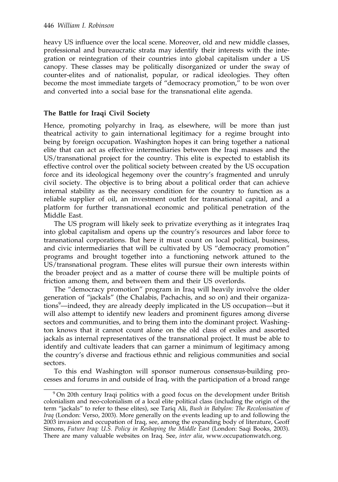heavy US influence over the local scene. Moreover, old and new middle classes, professional and bureaucratic strata may identify their interests with the integration or reintegration of their countries into global capitalism under a US canopy. These classes may be politically disorganized or under the sway of counter-elites and of nationalist, popular, or radical ideologies. They often become the most immediate targets of "democracy promotion," to be won over and converted into a social base for the transnational elite agenda.

### **The Battle for Iraqi Civil Society**

Hence, promoting polyarchy in Iraq, as elsewhere, will be more than just theatrical activity to gain international legitimacy for a regime brought into being by foreign occupation. Washington hopes it can bring together a national elite that can act as effective intermediaries between the Iraqi masses and the US/transnational project for the country. This elite is expected to establish its effective control over the political society between created by the US occupation force and its ideological hegemony over the country's fragmented and unruly civil society. The objective is to bring about a political order that can achieve internal stability as the necessary condition for the country to function as a reliable supplier of oil, an investment outlet for transnational capital, and a platform for further transnational economic and political penetration of the Middle East.

The US program will likely seek to privatize everything as it integrates Iraq into global capitalism and opens up the country's resources and labor force to transnational corporations. But here it must count on local political, business, and civic intermediaries that will be cultivated by US "democracy promotion" programs and brought together into a functioning network attuned to the US/transnational program. These elites will pursue their own interests within the broader project and as a matter of course there will be multiple points of friction among them, and between them and their US overlords.

The "democracy promotion" program in Iraq will heavily involve the older generation of "jackals" (the Chalabis, Pachachis, and so on) and their organizations<sup>9</sup>—indeed, they are already deeply implicated in the US occupation—but it will also attempt to identify new leaders and prominent figures among diverse sectors and communities, and to bring them into the dominant project. Washington knows that it cannot count alone on the old class of exiles and assorted jackals as internal representatives of the transnational project. It must be able to identify and cultivate leaders that can garner a minimum of legitimacy among the country's diverse and fractious ethnic and religious communities and social sectors.

To this end Washington will sponsor numerous consensus-building processes and forums in and outside of Iraq, with the participation of a broad range

<sup>&</sup>lt;sup>9</sup> On 20th century Iraqi politics with a good focus on the development under British colonialism and neo-colonialism of a local elite political class (including the origin of the term "jackals" to refer to these elites), see Tariq Ali, *Bush in Babylon: The Recolonisation of Iraq* (London: Verso, 2003). More generally on the events leading up to and following the 2003 invasion and occupation of Iraq, see, among the expanding body of literature, Geoff Simons, *Future Iraq: U.S. Policy in Reshaping the Middle East* (London: Saqi Books, 2003). There are many valuable websites on Iraq. See, *inter alia*, www.occupationwatch.org.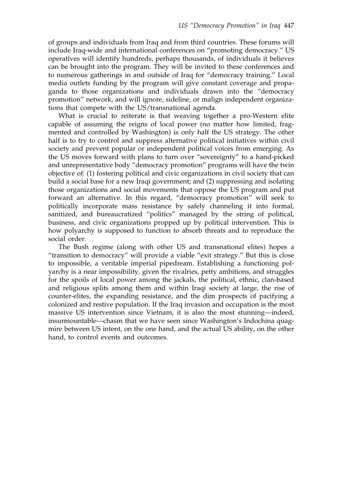of groups and individuals from Iraq and from third countries. These forums will include Iraq-wide and international conferences on "promoting democracy." US operatives will identify hundreds, perhaps thousands, of individuals it believes can be brought into the program. They will be invited to these conferences and to numerous gatherings in and outside of Iraq for "democracy training." Local media outlets funding by the program will give constant coverage and propaganda to those organizations and individuals drawn into the "democracy promotion" network, and will ignore, sideline, or malign independent organizations that compete with the US/transnational agenda.

What is crucial to reiterate is that weaving together a pro-Western elite capable of assuming the reigns of local power (no matter how limited, fragmented and controlled by Washington) is only half the US strategy. The other half is to try to control and suppress alternative political initiatives within civil society and prevent popular or independent political voices from emerging. As the US moves forward with plans to turn over "sovereignty" to a hand-picked and unrepresentative body "democracy promotion" programs will have the twin objective of: (1) fostering political and civic organizations in civil society that can build a social base for a new Iraqi government; and (2) suppressing and isolating those organizations and social movements that oppose the US program and put forward an alternative. In this regard, "democracy promotion" will seek to politically incorporate mass resistance by safely channeling it into formal, sanitized, and bureaucratized "politics" managed by the string of political, business, and civic organizations propped up by political intervention. This is how polyarchy is supposed to function to absorb threats and to reproduce the social order.

The Bush regime (along with other US and transnational elites) hopes a "transition to democracy" will provide a viable "exit strategy." But this is close to impossible, a veritable imperial pipedream. Establishing a functioning polyarchy is a near impossibility, given the rivalries, petty ambitions, and struggles for the spoils of local power among the jackals, the political, ethnic, clan-based and religious splits among them and within Iraqi society at large, the rise of counter-elites, the expanding resistance, and the dim prospects of pacifying a colonized and restive population. If the Iraq invasion and occupation is the most massive US intervention since Vietnam, it is also the most stunning—indeed, insurmountable—chasm that we have seen since Washington's Indochina quagmire between US intent, on the one hand, and the actual US ability, on the other hand, to control events and outcomes.